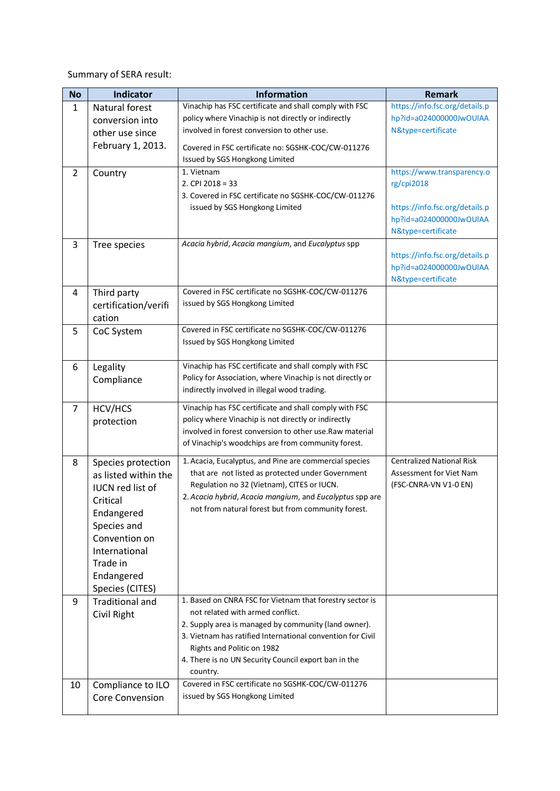Summary of SERA result:

| No             | <b>Indicator</b>                            | <b>Information</b>                                                                                              | <b>Remark</b>                                    |
|----------------|---------------------------------------------|-----------------------------------------------------------------------------------------------------------------|--------------------------------------------------|
| $\mathbf{1}$   | Natural forest                              | Vinachip has FSC certificate and shall comply with FSC                                                          | https://info.fsc.org/details.p                   |
|                | conversion into                             | policy where Vinachip is not directly or indirectly                                                             | hp?id=a024000000JwOUIAA                          |
|                | other use since                             | involved in forest conversion to other use.                                                                     | N&type=certificate                               |
|                | February 1, 2013.                           | Covered in FSC certificate no: SGSHK-COC/CW-011276                                                              |                                                  |
|                |                                             | Issued by SGS Hongkong Limited                                                                                  |                                                  |
| $\overline{2}$ | Country                                     | 1. Vietnam                                                                                                      | https://www.transparency.o                       |
|                |                                             | 2. CPI 2018 = 33                                                                                                | rg/cpi2018                                       |
|                |                                             | 3. Covered in FSC certificate no SGSHK-COC/CW-011276                                                            |                                                  |
|                |                                             | issued by SGS Hongkong Limited                                                                                  | https://info.fsc.org/details.p                   |
|                |                                             |                                                                                                                 | hp?id=a024000000JwOUIAA                          |
|                |                                             | Acacia hybrid, Acacia mangium, and Eucalyptus spp                                                               | N&type=certificate                               |
| 3              | Tree species                                |                                                                                                                 | https://info.fsc.org/details.p                   |
|                |                                             |                                                                                                                 | hp?id=a024000000JwOUIAA                          |
|                |                                             |                                                                                                                 | N&type=certificate                               |
| 4              | Third party                                 | Covered in FSC certificate no SGSHK-COC/CW-011276                                                               |                                                  |
|                | certification/verifi                        | issued by SGS Hongkong Limited                                                                                  |                                                  |
|                | cation                                      |                                                                                                                 |                                                  |
| 5              | CoC System                                  | Covered in FSC certificate no SGSHK-COC/CW-011276                                                               |                                                  |
|                |                                             | Issued by SGS Hongkong Limited                                                                                  |                                                  |
|                |                                             |                                                                                                                 |                                                  |
| 6              | Legality                                    | Vinachip has FSC certificate and shall comply with FSC                                                          |                                                  |
|                | Compliance                                  | Policy for Association, where Vinachip is not directly or<br>indirectly involved in illegal wood trading.       |                                                  |
|                |                                             |                                                                                                                 |                                                  |
| $\overline{7}$ | HCV/HCS                                     | Vinachip has FSC certificate and shall comply with FSC                                                          |                                                  |
|                | protection                                  | policy where Vinachip is not directly or indirectly<br>involved in forest conversion to other use. Raw material |                                                  |
|                |                                             | of Vinachip's woodchips are from community forest.                                                              |                                                  |
|                |                                             |                                                                                                                 |                                                  |
| 8              | Species protection                          | 1. Acacia, Eucalyptus, and Pine are commercial species                                                          | <b>Centralized National Risk</b>                 |
|                | as listed within the                        | that are not listed as protected under Government<br>Regulation no 32 (Vietnam), CITES or IUCN.                 | Assessment for Viet Nam<br>(FSC-CNRA-VN V1-0 EN) |
|                | <b>IUCN red list of</b>                     | 2. Acacia hybrid, Acacia mangium, and Eucalyptus spp are                                                        |                                                  |
|                | Critical                                    | not from natural forest but from community forest.                                                              |                                                  |
|                | Endangered                                  |                                                                                                                 |                                                  |
|                | Species and<br>Convention on                |                                                                                                                 |                                                  |
|                | International                               |                                                                                                                 |                                                  |
|                | Trade in                                    |                                                                                                                 |                                                  |
|                | Endangered                                  |                                                                                                                 |                                                  |
|                | Species (CITES)                             |                                                                                                                 |                                                  |
| 9              | <b>Traditional and</b>                      | 1. Based on CNRA FSC for Vietnam that forestry sector is                                                        |                                                  |
|                | Civil Right                                 | not related with armed conflict.                                                                                |                                                  |
|                |                                             | 2. Supply area is managed by community (land owner).                                                            |                                                  |
|                |                                             | 3. Vietnam has ratified International convention for Civil                                                      |                                                  |
|                |                                             | Rights and Politic on 1982                                                                                      |                                                  |
|                |                                             | 4. There is no UN Security Council export ban in the                                                            |                                                  |
| 10             |                                             | country.<br>Covered in FSC certificate no SGSHK-COC/CW-011276                                                   |                                                  |
|                | Compliance to ILO<br><b>Core Convension</b> | issued by SGS Hongkong Limited                                                                                  |                                                  |
|                |                                             |                                                                                                                 |                                                  |